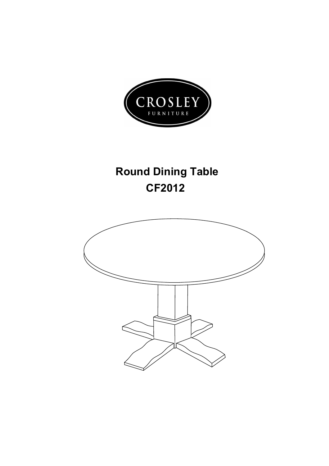

## **Round Dining Table CF2012**

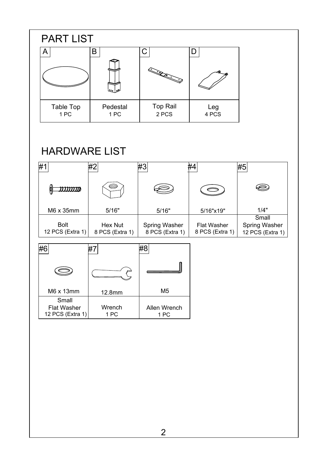

## HARDWARE LIST

|                  | #2              | ?#                   |                    | #5                   |
|------------------|-----------------|----------------------|--------------------|----------------------|
|                  | 6               |                      |                    |                      |
| M6 x 35mm        | 5/16"           | 5/16"                | 5/16"x19"          | 1/4"                 |
|                  |                 |                      |                    | Small                |
| <b>Bolt</b>      | Hex Nut         | <b>Spring Washer</b> | <b>Flat Washer</b> | <b>Spring Washer</b> |
| 12 PCS (Extra 1) | 8 PCS (Extra 1) | 8 PCS (Extra 1)      | 8 PCS (Extra 1)    | 12 PCS (Extra 1)     |

| M6 x 13mm                                       | 12.8mm         | M5                   |  |
|-------------------------------------------------|----------------|----------------------|--|
| Small<br><b>Flat Washer</b><br>12 PCS (Extra 1) | Wrench<br>1 PC | Allen Wrench<br>1 PC |  |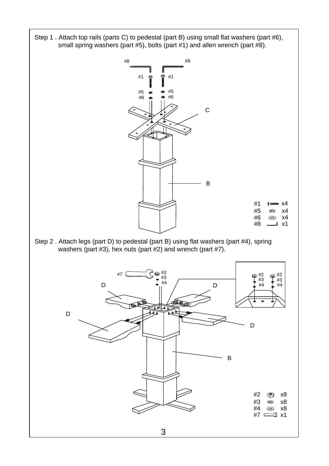Step 1 . Attach top rails (parts C) to pedestal (part B) using small flat washers (part #6), small spring washers (part #5), bolts (part #1) and allen wrench (part #8).